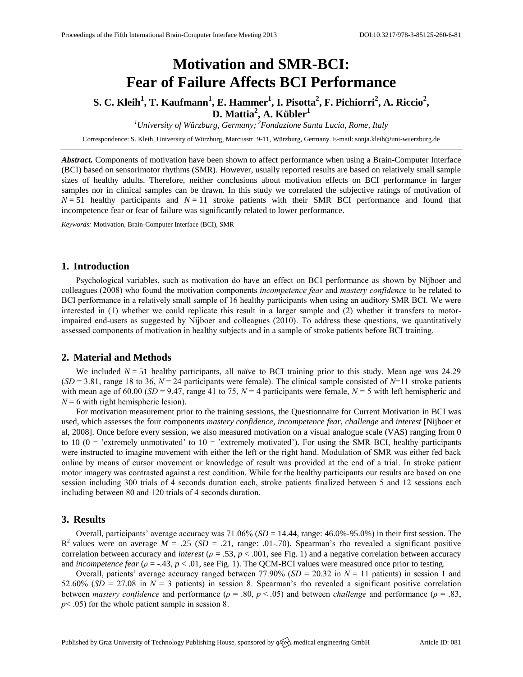# **Motivation and SMR-BCI: Fear of Failure Affects BCI Performance**

# **S. C. Kleih<sup>1</sup> , T. Kaufmann<sup>1</sup> , E. Hammer<sup>1</sup> , I. Pisotta<sup>2</sup> , F. Pichiorri 2 , A. Riccio<sup>2</sup> , D. Mattia<sup>2</sup> , A. Kübler<sup>1</sup>**

*<sup>1</sup>University of Würzburg, Germany; <sup>2</sup>Fondazione Santa Lucia, Rome, Italy*

Correspondence: S. Kleih, University of Würzburg, Marcusstr. 9-11, Würzburg, Germany. E-mail[: sonja.kleih@uni-wuerzburg.de](mailto:sonja.kleih@uni-wuerzburg.de)

*Abstract.* Components of motivation have been shown to affect performance when using a Brain-Computer Interface (BCI) based on sensorimotor rhythms (SMR). However, usually reported results are based on relatively small sample sizes of healthy adults. Therefore, neither conclusions about motivation effects on BCI performance in larger samples nor in clinical samples can be drawn. In this study we correlated the subjective ratings of motivation of  $N = 51$  healthy participants and  $N = 11$  stroke patients with their SMR BCI performance and found that incompetence fear or fear of failure was significantly related to lower performance.

*Keywords:* Motivation, Brain-Computer Interface (BCI), SMR

#### **1. Introduction**

Psychological variables, such as motivation do have an effect on BCI performance as shown by Nijboer and colleagues (2008) who found the motivation components *incompetence fear* and *mastery confidence* to be related to BCI performance in a relatively small sample of 16 healthy participants when using an auditory SMR BCI. We were interested in (1) whether we could replicate this result in a larger sample and (2) whether it transfers to motorimpaired end-users as suggested by Nijboer and colleagues (2010). To address these questions, we quantitatively assessed components of motivation in healthy subjects and in a sample of stroke patients before BCI training.

## **2. Material and Methods**

We included  $N = 51$  healthy participants, all naïve to BCI training prior to this study. Mean age was 24.29  $(SD = 3.81$ , range 18 to 36,  $N = 24$  participants were female). The clinical sample consisted of  $N=11$  stroke patients with mean age of 60.00 ( $SD = 9.47$ , range 41 to 75,  $N = 4$  participants were female,  $N = 5$  with left hemispheric and  $N = 6$  with right hemispheric lesion).

For motivation measurement prior to the training sessions, the Questionnaire for Current Motivation in BCI was used, which assesses the four components *mastery confidence, incompetence fear, challenge* and *interest* [Nijboer et al, 2008]. Once before every session, we also measured motivation on a visual analogue scale (VAS) ranging from 0 to 10 ( $0 =$  'extremely unmotivated' to  $10 =$  'extremely motivated'). For using the SMR BCI, healthy participants were instructed to imagine movement with either the left or the right hand. Modulation of SMR was either fed back online by means of cursor movement or knowledge of result was provided at the end of a trial. In stroke patient motor imagery was contrasted against a rest condition. While for the healthy participants our results are based on one session including 300 trials of 4 seconds duration each, stroke patients finalized between 5 and 12 sessions each including between 80 and 120 trials of 4 seconds duration.

### **3. Results**

Overall, participants' average accuracy was 71.06% (*SD* = 14.44, range: 46.0%-95.0%) in their first session. The  $R^2$  values were on average  $M = .25$  ( $SD = .21$ , range: .01-.70). Spearman's rho revealed a significant positive correlation between accuracy and *interest* ( $\rho = .53$ ,  $p < .001$ , see Fig. 1) and a negative correlation between accuracy and *incompetence fear* (*ρ* = -.43, *p* < .01, see Fig. 1). The QCM-BCI values were measured once prior to testing.

Overall, patients' average accuracy ranged between 77.90% ( $SD = 20.32$  in  $N = 11$  patients) in session 1 and 52.60% ( $SD = 27.08$  in  $N = 3$  patients) in session 8. Spearman's rho revealed a significant positive correlation between *mastery confidence* and performance (*ρ* = .80, *p* < .05) and between *challenge* and performance (*ρ* = .83, *p*< .05) for the whole patient sample in session 8.